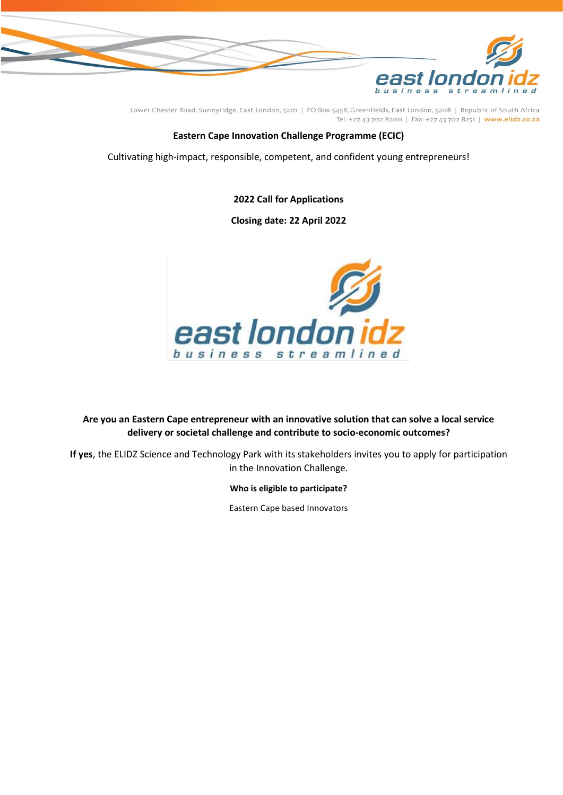

# **Eastern Cape Innovation Challenge Programme (ECIC)**

Cultivating high-impact, responsible, competent, and confident young entrepreneurs!

**2022 Call for Applications**

**Closing date: 22 April 2022**



**Are you an Eastern Cape entrepreneur with an innovative solution that can solve a local service delivery or societal challenge and contribute to socio-economic outcomes?**

**If yes**, the ELIDZ Science and Technology Park with its stakeholders invites you to apply for participation in the Innovation Challenge.

**Who is eligible to participate?**

Eastern Cape based Innovators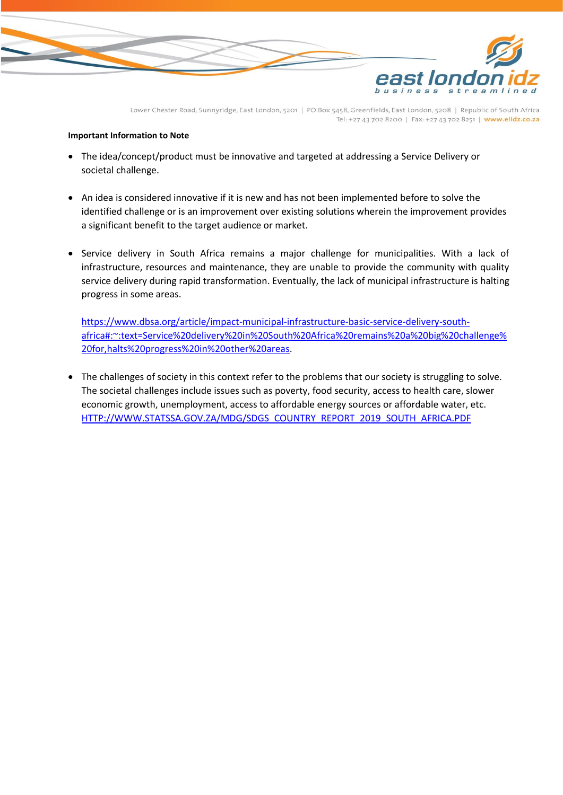

### **Important Information to Note**

- The idea/concept/product must be innovative and targeted at addressing a Service Delivery or societal challenge.
- An idea is considered innovative if it is new and has not been implemented before to solve the identified challenge or is an improvement over existing solutions wherein the improvement provides a significant benefit to the target audience or market.
- Service delivery in South Africa remains a major challenge for municipalities. With a lack of infrastructure, resources and maintenance, they are unable to provide the community with quality service delivery during rapid transformation. Eventually, the lack of municipal infrastructure is halting progress in some areas.

[https://www.dbsa.org/article/impact-municipal-infrastructure-basic-service-delivery-south](https://www.dbsa.org/article/impact-municipal-infrastructure-basic-service-delivery-south-africa#:~:text=Service%20delivery%20in%20South%20Africa%20remains%20a%20big%20challenge%20for,halts%20progress%20in%20other%20areas)[africa#:~:text=Service%20delivery%20in%20South%20Africa%20remains%20a%20big%20challenge%](https://www.dbsa.org/article/impact-municipal-infrastructure-basic-service-delivery-south-africa#:~:text=Service%20delivery%20in%20South%20Africa%20remains%20a%20big%20challenge%20for,halts%20progress%20in%20other%20areas) [20for,halts%20progress%20in%20other%20areas.](https://www.dbsa.org/article/impact-municipal-infrastructure-basic-service-delivery-south-africa#:~:text=Service%20delivery%20in%20South%20Africa%20remains%20a%20big%20challenge%20for,halts%20progress%20in%20other%20areas)

• The challenges of society in this context refer to the problems that our society is struggling to solve. The societal challenges include issues such as poverty, food security, access to health care, slower economic growth, unemployment, access to affordable energy sources or affordable water, etc. [HTTP://WWW.STATSSA.GOV.ZA/MDG/SDGS\\_COUNTRY\\_REPORT\\_2019\\_SOUTH\\_AFRICA.PDF](http://www.statssa.gov.za/MDG/SDGS_COUNTRY_REPORT_2019_SOUTH_AFRICA.PDF)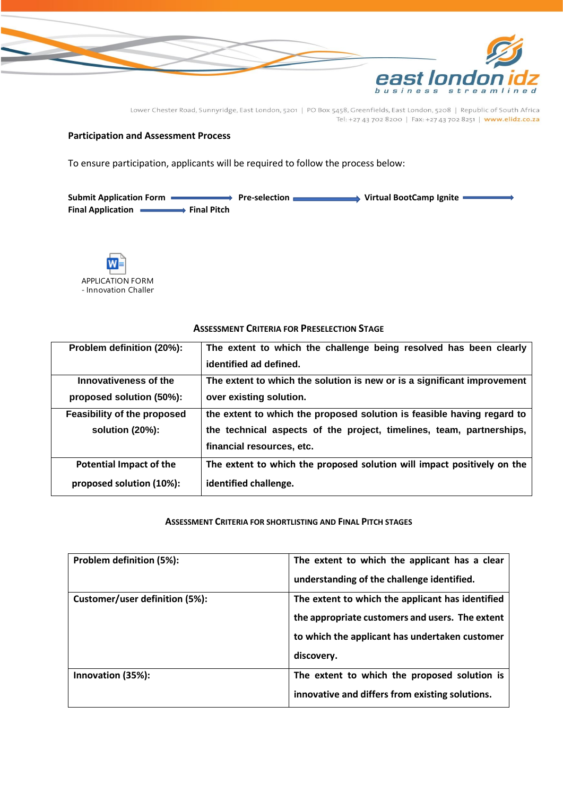

## **Participation and Assessment Process**

To ensure participation, applicants will be required to follow the process below:

Submit Application Form **All Accord Pre-selection <b>Container** Virtual BootCamp Ignite Final Application **Final Pitch** 



| Problem definition (20%):      | The extent to which the challenge being resolved has been clearly       |
|--------------------------------|-------------------------------------------------------------------------|
|                                | identified ad defined.                                                  |
| Innovativeness of the          | The extent to which the solution is new or is a significant improvement |
| proposed solution (50%):       | over existing solution.                                                 |
| Feasibility of the proposed    | the extent to which the proposed solution is feasible having regard to  |
| solution $(20%)$ :             | the technical aspects of the project, timelines, team, partnerships,    |
|                                | financial resources, etc.                                               |
| <b>Potential Impact of the</b> | The extent to which the proposed solution will impact positively on the |
| proposed solution (10%):       | identified challenge.                                                   |

#### **ASSESSMENT CRITERIA FOR PRESELECTION STAGE**

### **ASSESSMENT CRITERIA FOR SHORTLISTING AND FINAL PITCH STAGES**

| Problem definition (5%):       | The extent to which the applicant has a clear    |
|--------------------------------|--------------------------------------------------|
|                                | understanding of the challenge identified.       |
| Customer/user definition (5%): | The extent to which the applicant has identified |
|                                | the appropriate customers and users. The extent  |
|                                | to which the applicant has undertaken customer   |
|                                | discovery.                                       |
| Innovation (35%):              | The extent to which the proposed solution is     |
|                                | innovative and differs from existing solutions.  |